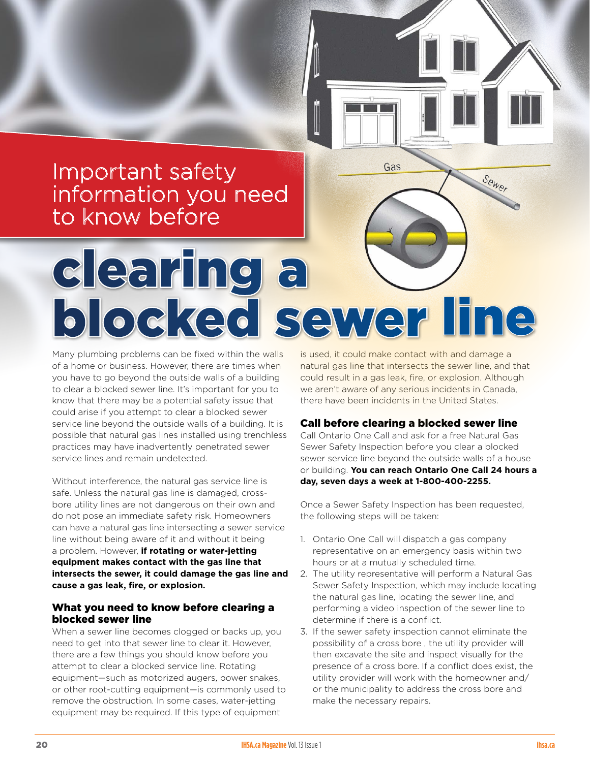# Important safety information you need to know before

Many plumbing problems can be fixed within the walls of a home or business. However, there are times when you have to go beyond the outside walls of a building to clear a blocked sewer line. It's important for you to know that there may be a potential safety issue that could arise if you attempt to clear a blocked sewer service line beyond the outside walls of a building. It is possible that natural gas lines installed using trenchless practices may have inadvertently penetrated sewer service lines and remain undetected. blocked sewer line

clearing a

Without interference, the natural gas service line is safe. Unless the natural gas line is damaged, crossbore utility lines are not dangerous on their own and do not pose an immediate safety risk. Homeowners can have a natural gas line intersecting a sewer service line without being aware of it and without it being a problem. However, **if rotating or water-jetting equipment makes contact with the gas line that intersects the sewer, it could damage the gas line and cause a gas leak, fire, or explosion.**

# What you need to know before clearing a blocked sewer line

When a sewer line becomes clogged or backs up, you need to get into that sewer line to clear it. However, there are a few things you should know before you attempt to clear a blocked service line. Rotating equipment—such as motorized augers, power snakes, or other root-cutting equipment—is commonly used to remove the obstruction. In some cases, water-jetting equipment may be required. If this type of equipment

is used, it could make contact with and damage a natural gas line that intersects the sewer line, and that could result in a gas leak, fire, or explosion. Although we aren't aware of any serious incidents in Canada, there have been incidents in the United States.

Gas

Sewer

# Call before clearing a blocked sewer line

Call Ontario One Call and ask for a free Natural Gas Sewer Safety Inspection before you clear a blocked sewer service line beyond the outside walls of a house or building. **You can reach Ontario One Call 24 hours a day, seven days a week at 1-800-400-2255.**

Once a Sewer Safety Inspection has been requested, the following steps will be taken:

- 1. Ontario One Call will dispatch a gas company representative on an emergency basis within two hours or at a mutually scheduled time.
- 2. The utility representative will perform a Natural Gas Sewer Safety Inspection, which may include locating the natural gas line, locating the sewer line, and performing a video inspection of the sewer line to determine if there is a conflict.
- 3. If the sewer safety inspection cannot eliminate the possibility of a cross bore , the utility provider will then excavate the site and inspect visually for the presence of a cross bore. If a conflict does exist, the utility provider will work with the homeowner and/ or the municipality to address the cross bore and make the necessary repairs.